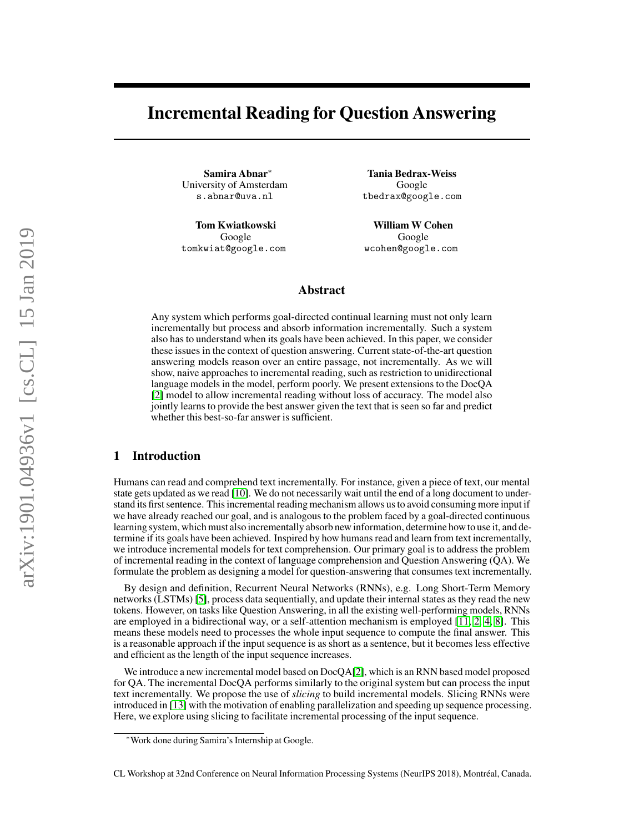# Incremental Reading for Question Answering

Samira Abnar<sup>∗</sup> University of Amsterdam s.abnar@uva.nl

Tom Kwiatkowski Google tomkwiat@google.com

Tania Bedrax-Weiss Google tbedrax@google.com

William W Cohen Google wcohen@google.com

### Abstract

Any system which performs goal-directed continual learning must not only learn incrementally but process and absorb information incrementally. Such a system also has to understand when its goals have been achieved. In this paper, we consider these issues in the context of question answering. Current state-of-the-art question answering models reason over an entire passage, not incrementally. As we will show, naive approaches to incremental reading, such as restriction to unidirectional language models in the model, perform poorly. We present extensions to the DocQA [\[2\]](#page-4-0) model to allow incremental reading without loss of accuracy. The model also jointly learns to provide the best answer given the text that is seen so far and predict whether this best-so-far answer is sufficient.

# 1 Introduction

Humans can read and comprehend text incrementally. For instance, given a piece of text, our mental state gets updated as we read [\[10\]](#page-4-1). We do not necessarily wait until the end of a long document to understand its first sentence. This incremental reading mechanism allows us to avoid consuming more input if we have already reached our goal, and is analogous to the problem faced by a goal-directed continuous learning system, which must also incrementally absorb new information, determine how to use it, and determine if its goals have been achieved. Inspired by how humans read and learn from text incrementally, we introduce incremental models for text comprehension. Our primary goal is to address the problem of incremental reading in the context of language comprehension and Question Answering (QA). We formulate the problem as designing a model for question-answering that consumes text incrementally.

By design and definition, Recurrent Neural Networks (RNNs), e.g. Long Short-Term Memory networks (LSTMs) [\[5\]](#page-4-2), process data sequentially, and update their internal states as they read the new tokens. However, on tasks like Question Answering, in all the existing well-performing models, RNNs are employed in a bidirectional way, or a self-attention mechanism is employed [\[11,](#page-4-3) [2,](#page-4-0) [4,](#page-4-4) [8\]](#page-4-5). This means these models need to processes the whole input sequence to compute the final answer. This is a reasonable approach if the input sequence is as short as a sentence, but it becomes less effective and efficient as the length of the input sequence increases.

We introduce a new incremental model based on DocQA[\[2\]](#page-4-0), which is an RNN based model proposed for QA. The incremental DocQA performs similarly to the original system but can process the input text incrementally. We propose the use of *slicing* to build incremental models. Slicing RNNs were introduced in [\[13\]](#page-4-6) with the motivation of enabling parallelization and speeding up sequence processing. Here, we explore using slicing to facilitate incremental processing of the input sequence.

<sup>∗</sup>Work done during Samira's Internship at Google.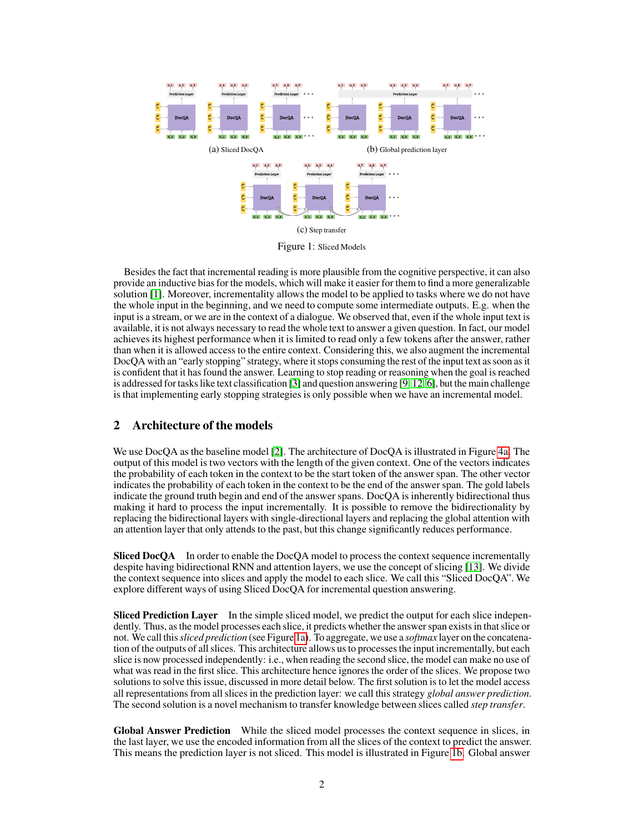<span id="page-1-0"></span>

Figure 1: Sliced Models

Besides the fact that incremental reading is more plausible from the cognitive perspective, it can also provide an inductive bias for the models, which will make it easier for them to find a more generalizable solution [\[1\]](#page-4-7). Moreover, incrementality allows the model to be applied to tasks where we do not have the whole input in the beginning, and we need to compute some intermediate outputs. E.g. when the input is a stream, or we are in the context of a dialogue. We observed that, even if the whole input text is available, it is not always necessary to read the whole text to answer a given question. In fact, our model achieves its highest performance when it is limited to read only a few tokens after the answer, rather than when it is allowed access to the entire context. Considering this, we also augment the incremental DocQA with an "early stopping" strategy, where it stops consuming the rest of the input text as soon as it is confident that it has found the answer. Learning to stop reading or reasoning when the goal is reached is addressed for tasks like text classification [\[3\]](#page-4-8) and question answering [\[9,](#page-4-9) [12,](#page-4-10) [6\]](#page-4-11), but the main challenge is that implementing early stopping strategies is only possible when we have an incremental model.

## 2 Architecture of the models

We use DocQA as the baseline model [\[2\]](#page-4-0). The architecture of DocQA is illustrated in Figure [4a.](#page-5-0) The output of this model is two vectors with the length of the given context. One of the vectors indicates the probability of each token in the context to be the start token of the answer span. The other vector indicates the probability of each token in the context to be the end of the answer span. The gold labels indicate the ground truth begin and end of the answer spans. DocQA is inherently bidirectional thus making it hard to process the input incrementally. It is possible to remove the bidirectionality by replacing the bidirectional layers with single-directional layers and replacing the global attention with an attention layer that only attends to the past, but this change significantly reduces performance.

Sliced DocQA In order to enable the DocQA model to process the context sequence incrementally despite having bidirectional RNN and attention layers, we use the concept of slicing [\[13\]](#page-4-6). We divide the context sequence into slices and apply the model to each slice. We call this "Sliced DocQA". We explore different ways of using Sliced DocQA for incremental question answering.

**Sliced Prediction Layer** In the simple sliced model, we predict the output for each slice independently. Thus, as the model processes each slice, it predicts whether the answer span exists in that slice or not. We call this*sliced prediction* (see Figure [1a\)](#page-1-0). To aggregate, we use a *softmax* layer on the concatenation of the outputs of all slices. This architecture allows us to processes the input incrementally, but each slice is now processed independently: i.e., when reading the second slice, the model can make no use of what was read in the first slice. This architecture hence ignores the order of the slices. We propose two solutions to solve this issue, discussed in more detail below. The first solution is to let the model access all representations from all slices in the prediction layer: we call this strategy *global answer prediction*. The second solution is a novel mechanism to transfer knowledge between slices called *step transfer*.

Global Answer Prediction While the sliced model processes the context sequence in slices, in the last layer, we use the encoded information from all the slices of the context to predict the answer. This means the prediction layer is not sliced. This model is illustrated in Figure [1b.](#page-1-0) Global answer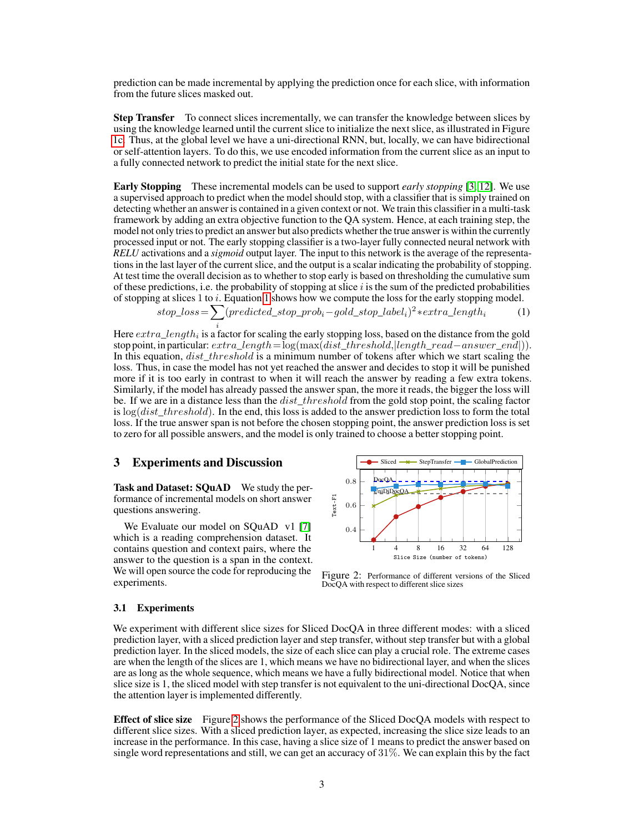prediction can be made incremental by applying the prediction once for each slice, with information from the future slices masked out.

Step Transfer To connect slices incrementally, we can transfer the knowledge between slices by using the knowledge learned until the current slice to initialize the next slice, as illustrated in Figure [1c.](#page-1-0) Thus, at the global level we have a uni-directional RNN, but, locally, we can have bidirectional or self-attention layers. To do this, we use encoded information from the current slice as an input to a fully connected network to predict the initial state for the next slice.

Early Stopping These incremental models can be used to support *early stopping* [\[3,](#page-4-8) [12\]](#page-4-10). We use a supervised approach to predict when the model should stop, with a classifier that is simply trained on detecting whether an answer is contained in a given context or not. We train this classifier in a multi-task framework by adding an extra objective function to the QA system. Hence, at each training step, the model not only tries to predict an answer but also predicts whether the true answer is within the currently processed input or not. The early stopping classifier is a two-layer fully connected neural network with *RELU* activations and a *sigmoid* output layer. The input to this network is the average of the representations in the last layer of the current slice, and the output is a scalar indicating the probability of stopping. At test time the overall decision as to whether to stop early is based on thresholding the cumulative sum of these predictions, i.e. the probability of stopping at slice  $i$  is the sum of the predicted probabilities of stopping at slices 1 to i. Equation [1](#page-2-0) shows how we compute the loss for the early stopping model.

$$
stop\_loss = \sum_{i} (predicted\_stop\_prob_i - gold\_stop\_label_i)^2 * extra\_length_i \tag{1}
$$

Here  $extra\_length_i$  is a factor for scaling the early stopping loss, based on the distance from the gold stop point, in particular:  $extra\_length = log(max(dist\_threshold,|length\_read-answer\_end|)).$ In this equation,  $dist\_threshold$  is a minimum number of tokens after which we start scaling the loss. Thus, in case the model has not yet reached the answer and decides to stop it will be punished more if it is too early in contrast to when it will reach the answer by reading a few extra tokens. Similarly, if the model has already passed the answer span, the more it reads, the bigger the loss will be. If we are in a distance less than the  $dist\_threshold$  from the gold stop point, the scaling factor is  $log(dist threshold)$ . In the end, this loss is added to the answer prediction loss to form the total loss. If the true answer span is not before the chosen stopping point, the answer prediction loss is set to zero for all possible answers, and the model is only trained to choose a better stopping point.

#### 3 Experiments and Discussion

Task and Dataset: SOuAD We study the performance of incremental models on short answer questions answering.

We Evaluate our model on SQuAD v1 [\[7\]](#page-4-12) which is a reading comprehension dataset. It contains question and context pairs, where the answer to the question is a span in the context. We will open source the code for reproducing the experiments.

<span id="page-2-1"></span><span id="page-2-0"></span>

Figure 2: Performance of different versions of the Sliced DocQA with respect to different slice sizes

#### 3.1 Experiments

We experiment with different slice sizes for Sliced DocQA in three different modes: with a sliced prediction layer, with a sliced prediction layer and step transfer, without step transfer but with a global prediction layer. In the sliced models, the size of each slice can play a crucial role. The extreme cases are when the length of the slices are 1, which means we have no bidirectional layer, and when the slices are as long as the whole sequence, which means we have a fully bidirectional model. Notice that when slice size is 1, the sliced model with step transfer is not equivalent to the uni-directional DocQA, since the attention layer is implemented differently.

Effect of slice size Figure [2](#page-2-1) shows the performance of the Sliced DocQA models with respect to different slice sizes. With a sliced prediction layer, as expected, increasing the slice size leads to an increase in the performance. In this case, having a slice size of 1 means to predict the answer based on single word representations and still, we can get an accuracy of 31%. We can explain this by the fact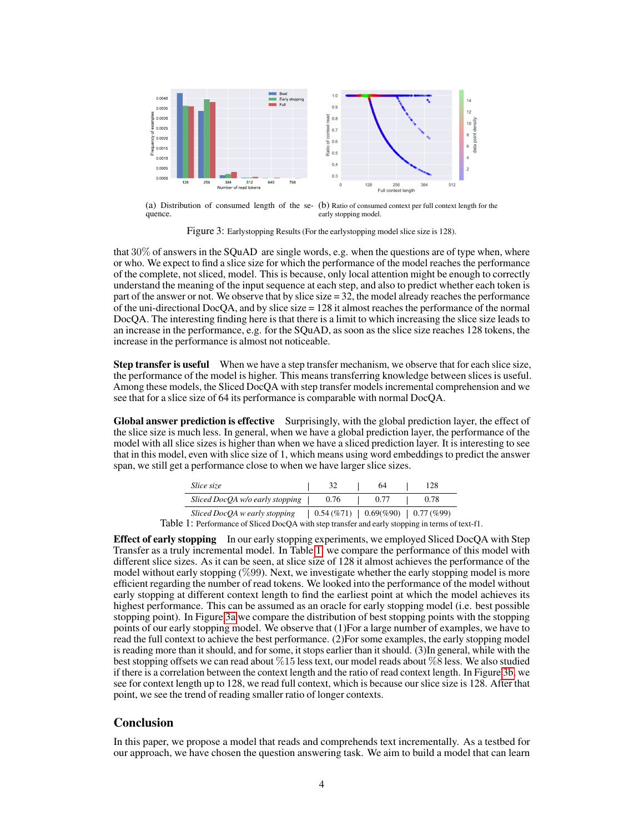<span id="page-3-1"></span>

(a) Distribution of consumed length of the se-(b) Ratio of consumed context per full context length for the quence. early stopping model.

Figure 3: Earlystopping Results (For the earlystopping model slice size is 128).

that  $30\%$  of answers in the SQuAD are single words, e.g. when the questions are of type when, where or who. We expect to find a slice size for which the performance of the model reaches the performance of the complete, not sliced, model. This is because, only local attention might be enough to correctly understand the meaning of the input sequence at each step, and also to predict whether each token is part of the answer or not. We observe that by slice size  $= 32$ , the model already reaches the performance of the uni-directional DocQA, and by slice size  $= 128$  it almost reaches the performance of the normal DocQA. The interesting finding here is that there is a limit to which increasing the slice size leads to an increase in the performance, e.g. for the SQuAD, as soon as the slice size reaches 128 tokens, the increase in the performance is almost not noticeable.

Step transfer is useful When we have a step transfer mechanism, we observe that for each slice size, the performance of the model is higher. This means transferring knowledge between slices is useful. Among these models, the Sliced DocQA with step transfer models incremental comprehension and we see that for a slice size of 64 its performance is comparable with normal DocQA.

Global answer prediction is effective Surprisingly, with the global prediction layer, the effect of the slice size is much less. In general, when we have a global prediction layer, the performance of the model with all slice sizes is higher than when we have a sliced prediction layer. It is interesting to see that in this model, even with slice size of 1, which means using word embeddings to predict the answer span, we still get a performance close to when we have larger slice sizes.

| <i>Slice size</i>               |                                                        | 64   | 128  |
|---------------------------------|--------------------------------------------------------|------|------|
| Sliced DocQA w/o early stopping | 0.76                                                   | 0.77 | 0.78 |
| Sliced DocQA w early stopping   | $0.54 \, (\% 71)$   $0.69\,%\,90)$   $0.77 \, (\% 99)$ |      |      |

Table 1: Performance of Sliced DocQA with step transfer and early stopping in terms of text-f1.

<span id="page-3-0"></span>**Effect of early stopping** In our early stopping experiments, we employed Sliced DocQA with Step Transfer as a truly incremental model. In Table [1,](#page-3-0) we compare the performance of this model with different slice sizes. As it can be seen, at slice size of 128 it almost achieves the performance of the model without early stopping (%99). Next, we investigate whether the early stopping model is more efficient regarding the number of read tokens. We looked into the performance of the model without early stopping at different context length to find the earliest point at which the model achieves its highest performance. This can be assumed as an oracle for early stopping model (i.e. best possible stopping point). In Figure [3a](#page-3-1) we compare the distribution of best stopping points with the stopping points of our early stopping model. We observe that (1)For a large number of examples, we have to read the full context to achieve the best performance. (2)For some examples, the early stopping model is reading more than it should, and for some, it stops earlier than it should. (3)In general, while with the best stopping offsets we can read about %15 less text, our model reads about %8 less. We also studied if there is a correlation between the context length and the ratio of read context length. In Figure [3b,](#page-3-1) we see for context length up to 128, we read full context, which is because our slice size is 128. After that point, we see the trend of reading smaller ratio of longer contexts.

#### **Conclusion**

In this paper, we propose a model that reads and comprehends text incrementally. As a testbed for our approach, we have chosen the question answering task. We aim to build a model that can learn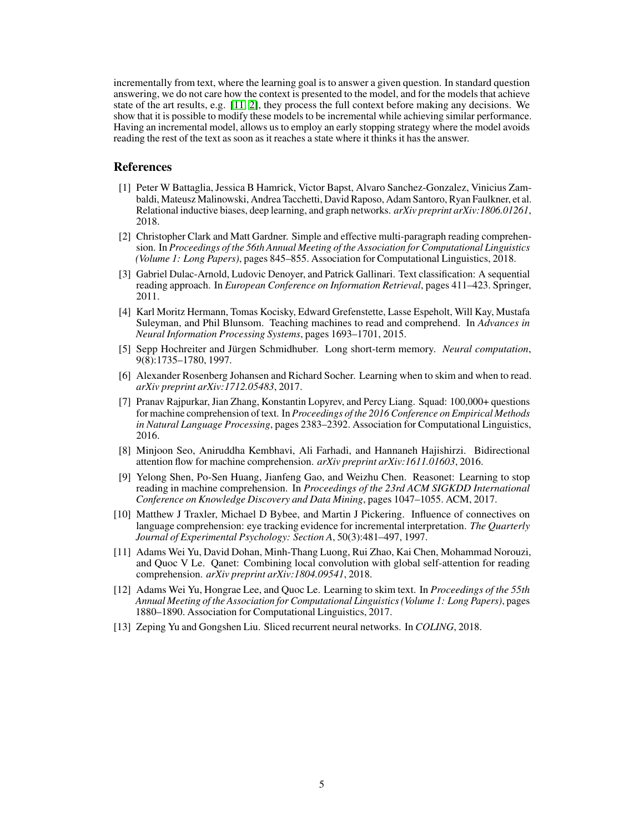incrementally from text, where the learning goal is to answer a given question. In standard question answering, we do not care how the context is presented to the model, and for the models that achieve state of the art results, e.g. [\[11,](#page-4-3) [2\]](#page-4-0), they process the full context before making any decisions. We show that it is possible to modify these models to be incremental while achieving similar performance. Having an incremental model, allows us to employ an early stopping strategy where the model avoids reading the rest of the text as soon as it reaches a state where it thinks it has the answer.

# **References**

- <span id="page-4-7"></span>[1] Peter W Battaglia, Jessica B Hamrick, Victor Bapst, Alvaro Sanchez-Gonzalez, Vinicius Zambaldi, Mateusz Malinowski, Andrea Tacchetti, David Raposo, Adam Santoro, Ryan Faulkner, et al. Relational inductive biases, deep learning, and graph networks. *arXiv preprint arXiv:1806.01261*, 2018.
- <span id="page-4-0"></span>[2] Christopher Clark and Matt Gardner. Simple and effective multi-paragraph reading comprehension. In *Proceedings of the 56th Annual Meeting of the Association for Computational Linguistics (Volume 1: Long Papers)*, pages 845–855. Association for Computational Linguistics, 2018.
- <span id="page-4-8"></span>[3] Gabriel Dulac-Arnold, Ludovic Denoyer, and Patrick Gallinari. Text classification: A sequential reading approach. In *European Conference on Information Retrieval*, pages 411–423. Springer, 2011.
- <span id="page-4-4"></span>[4] Karl Moritz Hermann, Tomas Kocisky, Edward Grefenstette, Lasse Espeholt, Will Kay, Mustafa Suleyman, and Phil Blunsom. Teaching machines to read and comprehend. In *Advances in Neural Information Processing Systems*, pages 1693–1701, 2015.
- <span id="page-4-2"></span>[5] Sepp Hochreiter and Jürgen Schmidhuber. Long short-term memory. *Neural computation*, 9(8):1735–1780, 1997.
- <span id="page-4-11"></span>[6] Alexander Rosenberg Johansen and Richard Socher. Learning when to skim and when to read. *arXiv preprint arXiv:1712.05483*, 2017.
- <span id="page-4-12"></span>[7] Pranav Rajpurkar, Jian Zhang, Konstantin Lopyrev, and Percy Liang. Squad: 100,000+ questions for machine comprehension of text. In *Proceedings of the 2016 Conference on Empirical Methods in Natural Language Processing*, pages 2383–2392. Association for Computational Linguistics, 2016.
- <span id="page-4-5"></span>[8] Minjoon Seo, Aniruddha Kembhavi, Ali Farhadi, and Hannaneh Hajishirzi. Bidirectional attention flow for machine comprehension. *arXiv preprint arXiv:1611.01603*, 2016.
- <span id="page-4-9"></span>[9] Yelong Shen, Po-Sen Huang, Jianfeng Gao, and Weizhu Chen. Reasonet: Learning to stop reading in machine comprehension. In *Proceedings of the 23rd ACM SIGKDD International Conference on Knowledge Discovery and Data Mining*, pages 1047–1055. ACM, 2017.
- <span id="page-4-1"></span>[10] Matthew J Traxler, Michael D Bybee, and Martin J Pickering. Influence of connectives on language comprehension: eye tracking evidence for incremental interpretation. *The Quarterly Journal of Experimental Psychology: Section A*, 50(3):481–497, 1997.
- <span id="page-4-3"></span>[11] Adams Wei Yu, David Dohan, Minh-Thang Luong, Rui Zhao, Kai Chen, Mohammad Norouzi, and Quoc V Le. Qanet: Combining local convolution with global self-attention for reading comprehension. *arXiv preprint arXiv:1804.09541*, 2018.
- <span id="page-4-10"></span>[12] Adams Wei Yu, Hongrae Lee, and Quoc Le. Learning to skim text. In *Proceedings of the 55th Annual Meeting of the Association for Computational Linguistics (Volume 1: Long Papers)*, pages 1880–1890. Association for Computational Linguistics, 2017.
- <span id="page-4-6"></span>[13] Zeping Yu and Gongshen Liu. Sliced recurrent neural networks. In *COLING*, 2018.